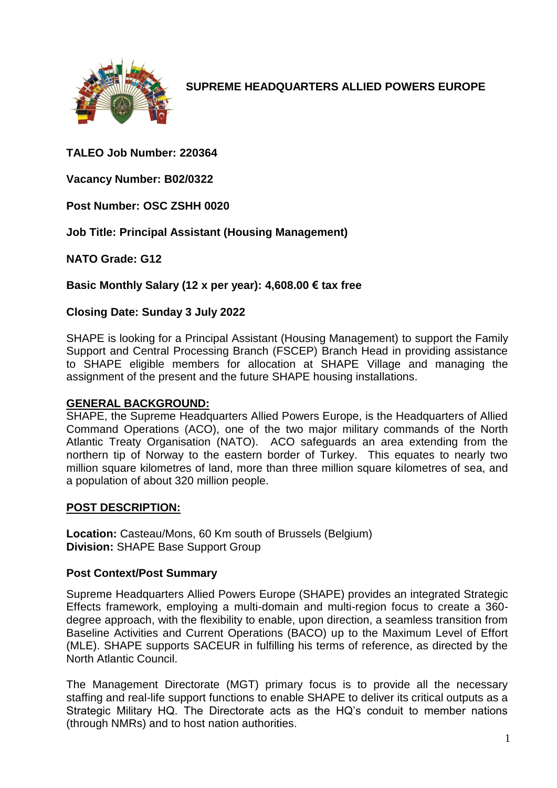

**SUPREME HEADQUARTERS ALLIED POWERS EUROPE**

**TALEO Job Number: 220364**

**Vacancy Number: B02/0322**

**Post Number: OSC ZSHH 0020**

**Job Title: Principal Assistant (Housing Management)**

**NATO Grade: G12**

**Basic Monthly Salary (12 x per year): 4,608.00 € tax free**

#### **Closing Date: Sunday 3 July 2022**

SHAPE is looking for a Principal Assistant (Housing Management) to support the Family Support and Central Processing Branch (FSCEP) Branch Head in providing assistance to SHAPE eligible members for allocation at SHAPE Village and managing the assignment of the present and the future SHAPE housing installations.

#### **GENERAL BACKGROUND:**

SHAPE, the Supreme Headquarters Allied Powers Europe, is the Headquarters of Allied Command Operations (ACO), one of the two major military commands of the North Atlantic Treaty Organisation (NATO). ACO safeguards an area extending from the northern tip of Norway to the eastern border of Turkey. This equates to nearly two million square kilometres of land, more than three million square kilometres of sea, and a population of about 320 million people.

#### **POST DESCRIPTION:**

**Location:** Casteau/Mons, 60 Km south of Brussels (Belgium) **Division:** SHAPE Base Support Group

#### **Post Context/Post Summary**

Supreme Headquarters Allied Powers Europe (SHAPE) provides an integrated Strategic Effects framework, employing a multi-domain and multi-region focus to create a 360 degree approach, with the flexibility to enable, upon direction, a seamless transition from Baseline Activities and Current Operations (BACO) up to the Maximum Level of Effort (MLE). SHAPE supports SACEUR in fulfilling his terms of reference, as directed by the North Atlantic Council.

The Management Directorate (MGT) primary focus is to provide all the necessary staffing and real-life support functions to enable SHAPE to deliver its critical outputs as a Strategic Military HQ. The Directorate acts as the HQ's conduit to member nations (through NMRs) and to host nation authorities.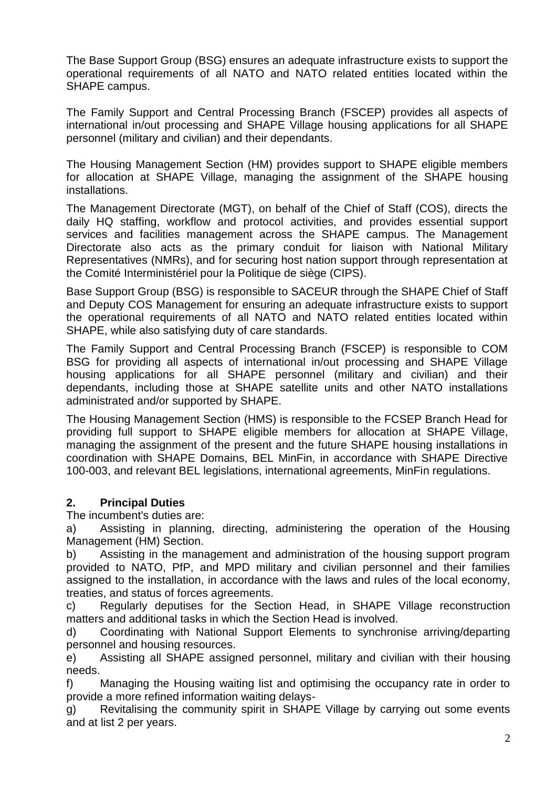The Base Support Group (BSG) ensures an adequate infrastructure exists to support the operational requirements of all NATO and NATO related entities located within the SHAPE campus.

The Family Support and Central Processing Branch (FSCEP) provides all aspects of international in/out processing and SHAPE Village housing applications for all SHAPE personnel (military and civilian) and their dependants.

The Housing Management Section (HM) provides support to SHAPE eligible members for allocation at SHAPE Village, managing the assignment of the SHAPE housing installations.

The Management Directorate (MGT), on behalf of the Chief of Staff (COS), directs the daily HQ staffing, workflow and protocol activities, and provides essential support services and facilities management across the SHAPE campus. The Management Directorate also acts as the primary conduit for liaison with National Military Representatives (NMRs), and for securing host nation support through representation at the Comité Interministériel pour la Politique de siège (CIPS).

Base Support Group (BSG) is responsible to SACEUR through the SHAPE Chief of Staff and Deputy COS Management for ensuring an adequate infrastructure exists to support the operational requirements of all NATO and NATO related entities located within SHAPE, while also satisfying duty of care standards.

The Family Support and Central Processing Branch (FSCEP) is responsible to COM BSG for providing all aspects of international in/out processing and SHAPE Village housing applications for all SHAPE personnel (military and civilian) and their dependants, including those at SHAPE satellite units and other NATO installations administrated and/or supported by SHAPE.

The Housing Management Section (HMS) is responsible to the FCSEP Branch Head for providing full support to SHAPE eligible members for allocation at SHAPE Village, managing the assignment of the present and the future SHAPE housing installations in coordination with SHAPE Domains, BEL MinFin, in accordance with SHAPE Directive 100-003, and relevant BEL legislations, international agreements, MinFin regulations.

### **2. Principal Duties**

The incumbent's duties are:

a) Assisting in planning, directing, administering the operation of the Housing Management (HM) Section.

b) Assisting in the management and administration of the housing support program provided to NATO, PfP, and MPD military and civilian personnel and their families assigned to the installation, in accordance with the laws and rules of the local economy, treaties, and status of forces agreements.

c) Regularly deputises for the Section Head, in SHAPE Village reconstruction matters and additional tasks in which the Section Head is involved.

d) Coordinating with National Support Elements to synchronise arriving/departing personnel and housing resources.

e) Assisting all SHAPE assigned personnel, military and civilian with their housing needs.

f) Managing the Housing waiting list and optimising the occupancy rate in order to provide a more refined information waiting delays-

g) Revitalising the community spirit in SHAPE Village by carrying out some events and at list 2 per years.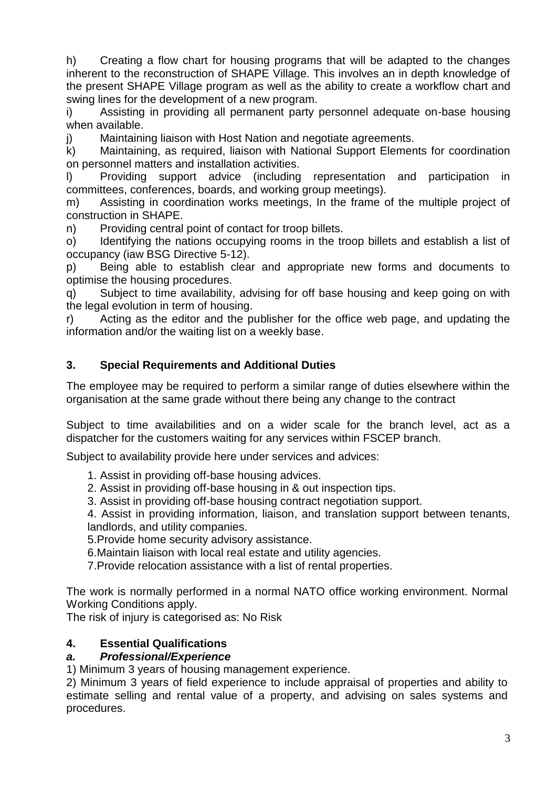h) Creating a flow chart for housing programs that will be adapted to the changes inherent to the reconstruction of SHAPE Village. This involves an in depth knowledge of the present SHAPE Village program as well as the ability to create a workflow chart and swing lines for the development of a new program.

i) Assisting in providing all permanent party personnel adequate on-base housing when available.

j) Maintaining liaison with Host Nation and negotiate agreements.

k) Maintaining, as required, liaison with National Support Elements for coordination on personnel matters and installation activities.

l) Providing support advice (including representation and participation in committees, conferences, boards, and working group meetings).

m) Assisting in coordination works meetings, In the frame of the multiple project of construction in SHAPE.

n) Providing central point of contact for troop billets.

o) Identifying the nations occupying rooms in the troop billets and establish a list of occupancy (iaw BSG Directive 5-12).

p) Being able to establish clear and appropriate new forms and documents to optimise the housing procedures.

q) Subject to time availability, advising for off base housing and keep going on with the legal evolution in term of housing.

r) Acting as the editor and the publisher for the office web page, and updating the information and/or the waiting list on a weekly base.

## **3. Special Requirements and Additional Duties**

The employee may be required to perform a similar range of duties elsewhere within the organisation at the same grade without there being any change to the contract

Subject to time availabilities and on a wider scale for the branch level, act as a dispatcher for the customers waiting for any services within FSCEP branch.

Subject to availability provide here under services and advices:

1. Assist in providing off-base housing advices.

2. Assist in providing off-base housing in & out inspection tips.

3. Assist in providing off-base housing contract negotiation support.

4. Assist in providing information, liaison, and translation support between tenants, landlords, and utility companies.

5.Provide home security advisory assistance.

6.Maintain liaison with local real estate and utility agencies.

7.Provide relocation assistance with a list of rental properties.

The work is normally performed in a normal NATO office working environment. Normal Working Conditions apply.

The risk of injury is categorised as: No Risk

### **4. Essential Qualifications**

#### *a. Professional/Experience*

1) Minimum 3 years of housing management experience.

2) Minimum 3 years of field experience to include appraisal of properties and ability to estimate selling and rental value of a property, and advising on sales systems and procedures.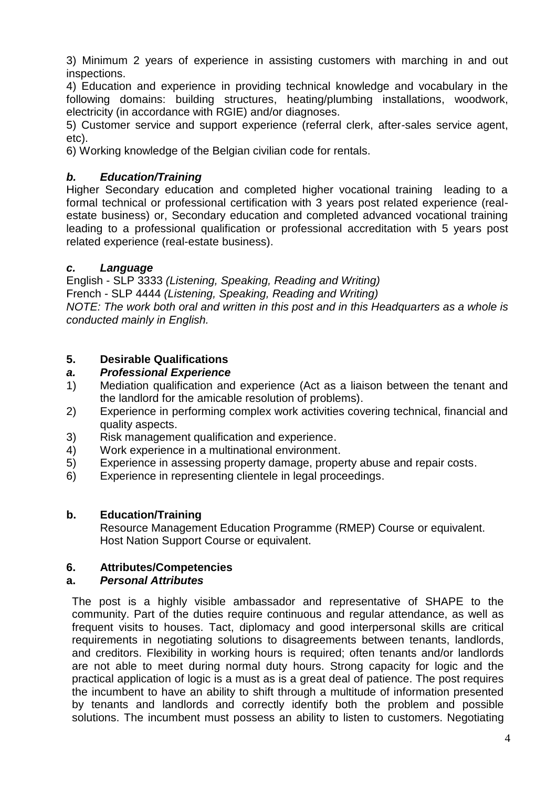3) Minimum 2 years of experience in assisting customers with marching in and out inspections.

4) Education and experience in providing technical knowledge and vocabulary in the following domains: building structures, heating/plumbing installations, woodwork, electricity (in accordance with RGIE) and/or diagnoses.

5) Customer service and support experience (referral clerk, after-sales service agent, etc).

6) Working knowledge of the Belgian civilian code for rentals.

## *b. Education/Training*

Higher Secondary education and completed higher vocational training leading to a formal technical or professional certification with 3 years post related experience (realestate business) or, Secondary education and completed advanced vocational training leading to a professional qualification or professional accreditation with 5 years post related experience (real-estate business).

### *c. Language*

English - SLP 3333 *(Listening, Speaking, Reading and Writing)* French - SLP 4444 *(Listening, Speaking, Reading and Writing)*

*NOTE: The work both oral and written in this post and in this Headquarters as a whole is conducted mainly in English.*

### **5. Desirable Qualifications**

### *a. Professional Experience*

- 1) Mediation qualification and experience (Act as a liaison between the tenant and the landlord for the amicable resolution of problems).
- 2) Experience in performing complex work activities covering technical, financial and quality aspects.
- 3) Risk management qualification and experience.
- 4) Work experience in a multinational environment.
- 5) Experience in assessing property damage, property abuse and repair costs.
- 6) Experience in representing clientele in legal proceedings.

### **b. Education/Training**

Resource Management Education Programme (RMEP) Course or equivalent. Host Nation Support Course or equivalent.

### **6. Attributes/Competencies**

### **a.** *Personal Attributes*

The post is a highly visible ambassador and representative of SHAPE to the community. Part of the duties require continuous and regular attendance, as well as frequent visits to houses. Tact, diplomacy and good interpersonal skills are critical requirements in negotiating solutions to disagreements between tenants, landlords, and creditors. Flexibility in working hours is required; often tenants and/or landlords are not able to meet during normal duty hours. Strong capacity for logic and the practical application of logic is a must as is a great deal of patience. The post requires the incumbent to have an ability to shift through a multitude of information presented by tenants and landlords and correctly identify both the problem and possible solutions. The incumbent must possess an ability to listen to customers. Negotiating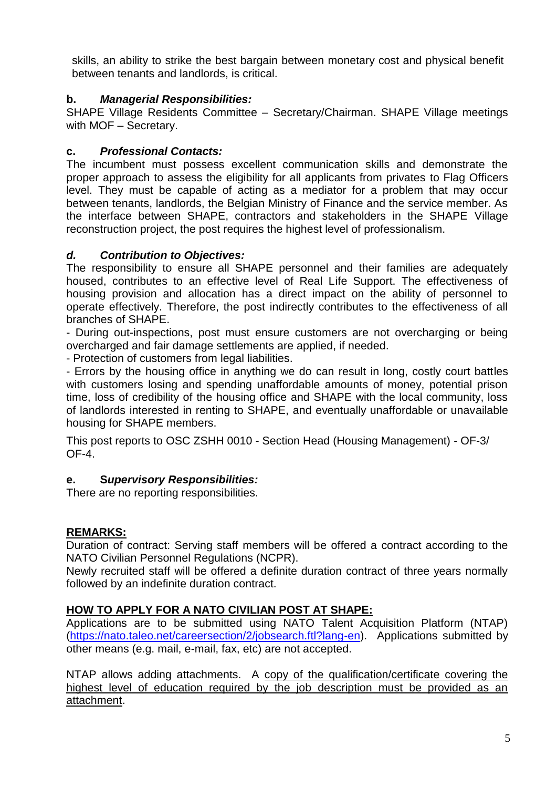skills, an ability to strike the best bargain between monetary cost and physical benefit between tenants and landlords, is critical.

## **b.** *Managerial Responsibilities:*

SHAPE Village Residents Committee – Secretary/Chairman. SHAPE Village meetings with MOF – Secretary.

# **c.** *Professional Contacts:*

The incumbent must possess excellent communication skills and demonstrate the proper approach to assess the eligibility for all applicants from privates to Flag Officers level. They must be capable of acting as a mediator for a problem that may occur between tenants, landlords, the Belgian Ministry of Finance and the service member. As the interface between SHAPE, contractors and stakeholders in the SHAPE Village reconstruction project, the post requires the highest level of professionalism.

### *d. Contribution to Objectives:*

The responsibility to ensure all SHAPE personnel and their families are adequately housed, contributes to an effective level of Real Life Support. The effectiveness of housing provision and allocation has a direct impact on the ability of personnel to operate effectively. Therefore, the post indirectly contributes to the effectiveness of all branches of SHAPE.

- During out-inspections, post must ensure customers are not overcharging or being overcharged and fair damage settlements are applied, if needed.

- Protection of customers from legal liabilities.

- Errors by the housing office in anything we do can result in long, costly court battles with customers losing and spending unaffordable amounts of money, potential prison time, loss of credibility of the housing office and SHAPE with the local community, loss of landlords interested in renting to SHAPE, and eventually unaffordable or unavailable housing for SHAPE members.

This post reports to OSC ZSHH 0010 - Section Head (Housing Management) - OF-3/ OF-4.

### **e. S***upervisory Responsibilities:*

There are no reporting responsibilities.

# **REMARKS:**

Duration of contract: Serving staff members will be offered a contract according to the NATO Civilian Personnel Regulations (NCPR).

Newly recruited staff will be offered a definite duration contract of three years normally followed by an indefinite duration contract.

# **HOW TO APPLY FOR A NATO CIVILIAN POST AT SHAPE:**

Applications are to be submitted using NATO Talent Acquisition Platform (NTAP) [\(https://nato.taleo.net/careersection/2/jobsearch.ftl?lang-en\)](https://nato.taleo.net/careersection/1/jobsearch.ftl?lang-en). Applications submitted by other means (e.g. mail, e-mail, fax, etc) are not accepted.

NTAP allows adding attachments. A copy of the qualification/certificate covering the highest level of education required by the job description must be provided as an attachment.